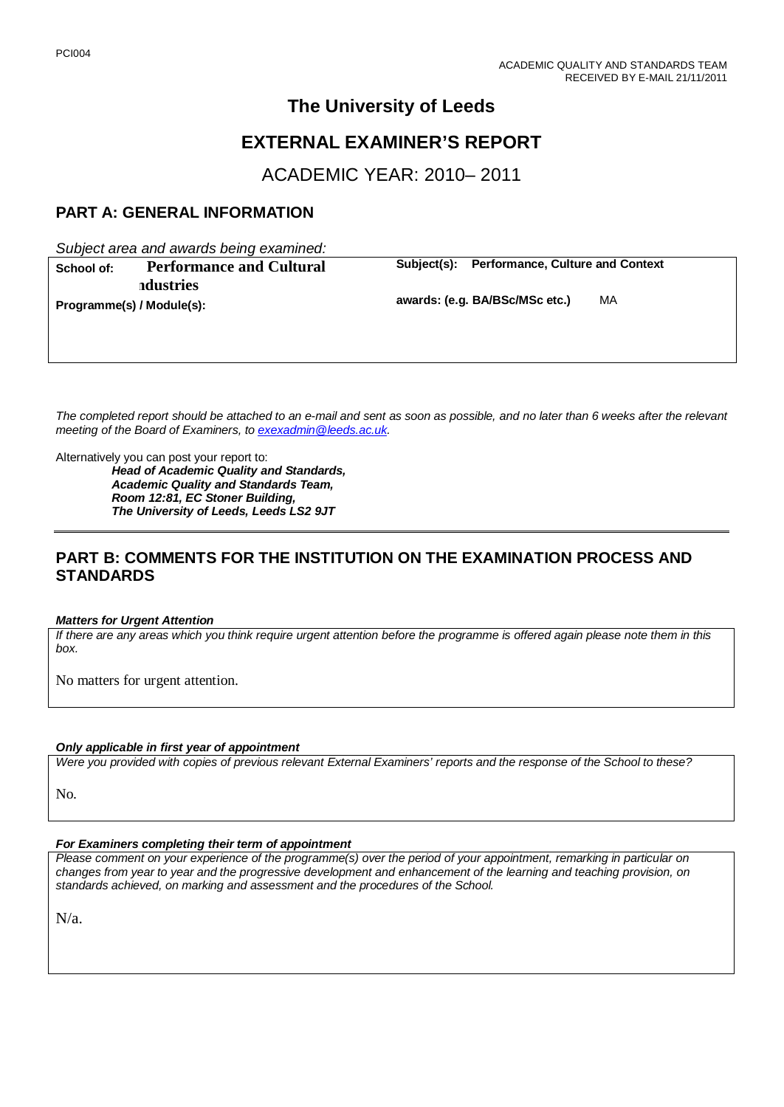# **The University of Leeds**

# **EXTERNAL EXAMINER'S REPORT**

ACADEMIC YEAR: 2010– 2011

# **PART A: GENERAL INFORMATION**

*Subject area and awards being examined:*

| School of:                | <b>Performance and Cultural</b> | Subiect(s): | <b>Performance, Culture and Context</b> |    |
|---------------------------|---------------------------------|-------------|-----------------------------------------|----|
|                           | ndustries                       |             |                                         |    |
| Programme(s) / Module(s): |                                 |             | awards: (e.g. BA/BSc/MSc etc.)          | MA |

*The completed report should be attached to an e-mail and sent as soon as possible, and no later than 6 weeks after the relevant meeting of the Board of Examiners, to [exexadmin@leeds.ac.uk.](mailto:exexadmin@leeds.ac.uk)*

Alternatively you can post your report to:

*Head of Academic Quality and Standards, Academic Quality and Standards Team, Room 12:81, EC Stoner Building, The University of Leeds, Leeds LS2 9JT*

# **PART B: COMMENTS FOR THE INSTITUTION ON THE EXAMINATION PROCESS AND STANDARDS**

#### *Matters for Urgent Attention*

*If there are any areas which you think require urgent attention before the programme is offered again please note them in this box.*

No matters for urgent attention.

#### *Only applicable in first year of appointment*

*Were you provided with copies of previous relevant External Examiners' reports and the response of the School to these?* 

No.

#### *For Examiners completing their term of appointment*

*Please comment on your experience of the programme(s) over the period of your appointment, remarking in particular on changes from year to year and the progressive development and enhancement of the learning and teaching provision, on standards achieved, on marking and assessment and the procedures of the School.* 

N/a.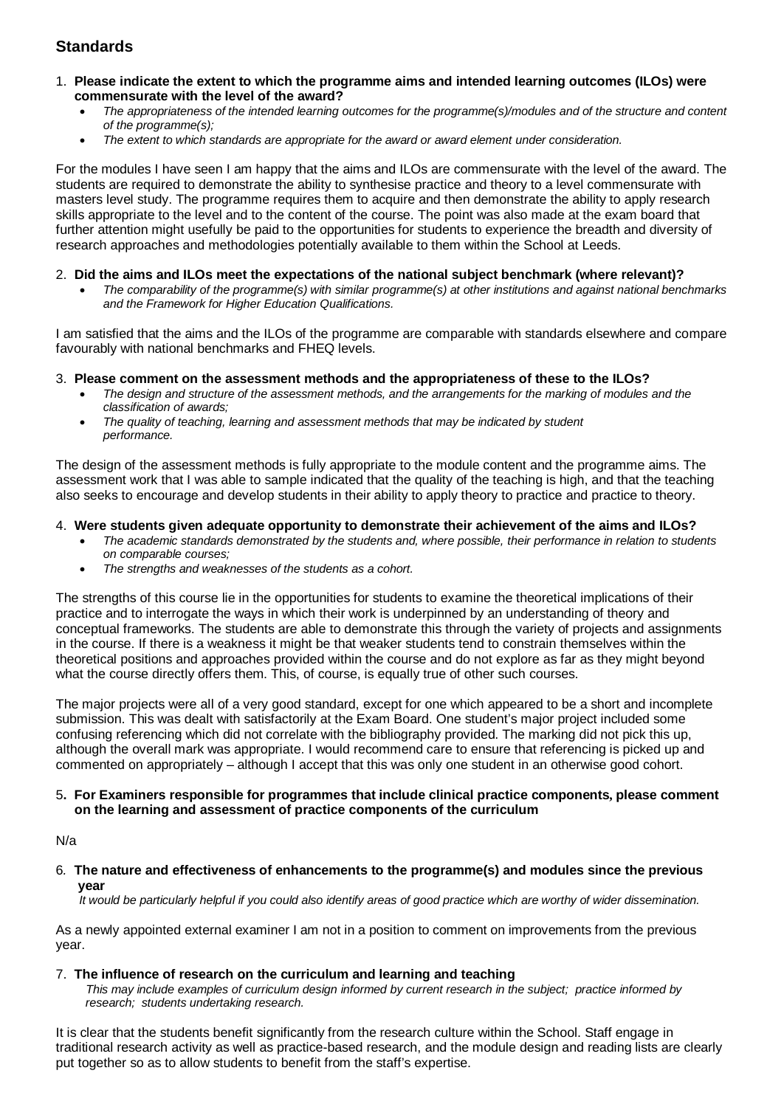# **Standards**

- 1. **Please indicate the extent to which the programme aims and intended learning outcomes (ILOs) were commensurate with the level of the award?**
	- *The appropriateness of the intended learning outcomes for the programme(s)/modules and of the structure and content of the programme(s);*
	- *The extent to which standards are appropriate for the award or award element under consideration.*

For the modules I have seen I am happy that the aims and ILOs are commensurate with the level of the award. The students are required to demonstrate the ability to synthesise practice and theory to a level commensurate with masters level study. The programme requires them to acquire and then demonstrate the ability to apply research skills appropriate to the level and to the content of the course. The point was also made at the exam board that further attention might usefully be paid to the opportunities for students to experience the breadth and diversity of research approaches and methodologies potentially available to them within the School at Leeds.

#### 2. **Did the aims and ILOs meet the expectations of the national subject benchmark (where relevant)?**

• *The comparability of the programme(s) with similar programme(s) at other institutions and against national benchmarks and the Framework for Higher Education Qualifications.*

I am satisfied that the aims and the ILOs of the programme are comparable with standards elsewhere and compare favourably with national benchmarks and FHEQ levels.

#### 3. **Please comment on the assessment methods and the appropriateness of these to the ILOs?**

- *The design and structure of the assessment methods, and the arrangements for the marking of modules and the classification of awards;*
- *The quality of teaching, learning and assessment methods that may be indicated by student performance.*

The design of the assessment methods is fully appropriate to the module content and the programme aims. The assessment work that I was able to sample indicated that the quality of the teaching is high, and that the teaching also seeks to encourage and develop students in their ability to apply theory to practice and practice to theory.

### 4. **Were students given adequate opportunity to demonstrate their achievement of the aims and ILOs?**

- *The academic standards demonstrated by the students and, where possible, their performance in relation to students on comparable courses;*
- *The strengths and weaknesses of the students as a cohort.*

The strengths of this course lie in the opportunities for students to examine the theoretical implications of their practice and to interrogate the ways in which their work is underpinned by an understanding of theory and conceptual frameworks. The students are able to demonstrate this through the variety of projects and assignments in the course. If there is a weakness it might be that weaker students tend to constrain themselves within the theoretical positions and approaches provided within the course and do not explore as far as they might beyond what the course directly offers them. This, of course, is equally true of other such courses.

The major projects were all of a very good standard, except for one which appeared to be a short and incomplete submission. This was dealt with satisfactorily at the Exam Board. One student's major project included some confusing referencing which did not correlate with the bibliography provided. The marking did not pick this up, although the overall mark was appropriate. I would recommend care to ensure that referencing is picked up and commented on appropriately – although I accept that this was only one student in an otherwise good cohort.

#### 5**. For Examiners responsible for programmes that include clinical practice components, please comment on the learning and assessment of practice components of the curriculum**

N/a

6*.* **The nature and effectiveness of enhancements to the programme(s) and modules since the previous year**

 *It would be particularly helpful if you could also identify areas of good practice which are worthy of wider dissemination.* 

As a newly appointed external examiner I am not in a position to comment on improvements from the previous year.

#### 7.**The influence of research on the curriculum and learning and teaching**

 *This may include examples of curriculum design informed by current research in the subject; practice informed by research; students undertaking research.* 

It is clear that the students benefit significantly from the research culture within the School. Staff engage in traditional research activity as well as practice-based research, and the module design and reading lists are clearly put together so as to allow students to benefit from the staff's expertise.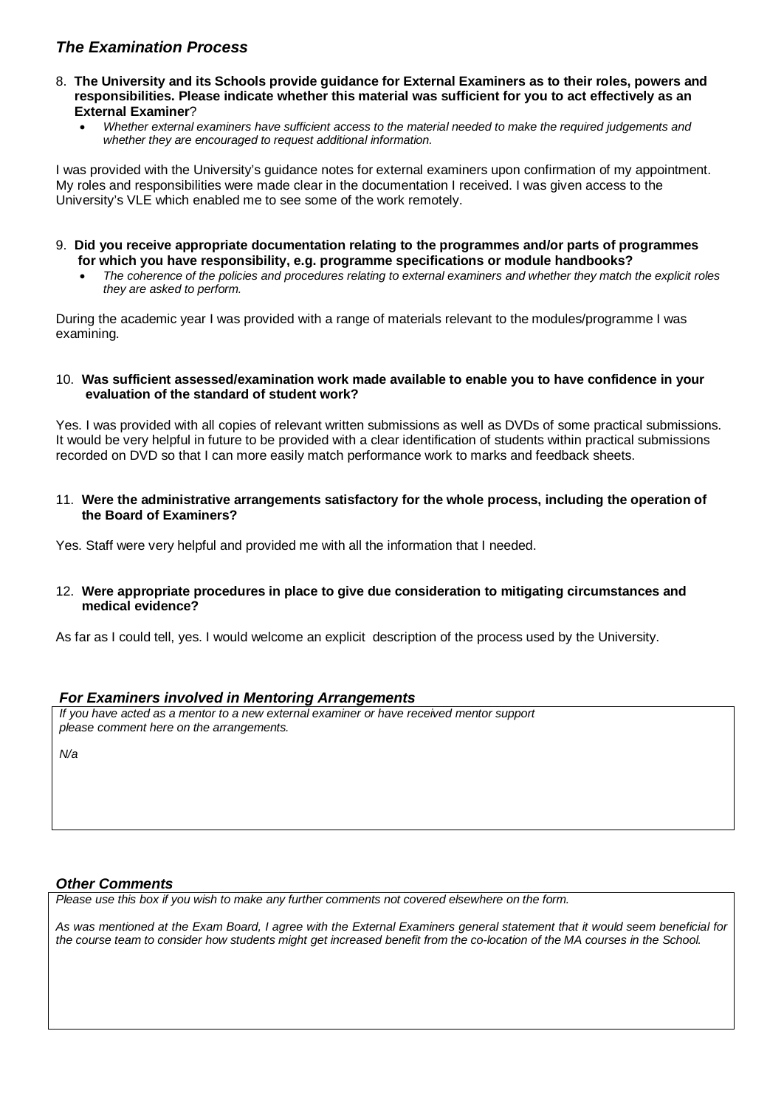# *The Examination Process*

- 8. **The University and its Schools provide guidance for External Examiners as to their roles, powers and responsibilities. Please indicate whether this material was sufficient for you to act effectively as an External Examiner**?
	- *Whether external examiners have sufficient access to the material needed to make the required judgements and whether they are encouraged to request additional information.*

I was provided with the University's guidance notes for external examiners upon confirmation of my appointment. My roles and responsibilities were made clear in the documentation I received. I was given access to the University's VLE which enabled me to see some of the work remotely.

- 9. **Did you receive appropriate documentation relating to the programmes and/or parts of programmes for which you have responsibility, e.g. programme specifications or module handbooks?**
	- *The coherence of the policies and procedures relating to external examiners and whether they match the explicit roles they are asked to perform.*

During the academic year I was provided with a range of materials relevant to the modules/programme I was examining.

### 10. **Was sufficient assessed/examination work made available to enable you to have confidence in your evaluation of the standard of student work?**

Yes. I was provided with all copies of relevant written submissions as well as DVDs of some practical submissions. It would be very helpful in future to be provided with a clear identification of students within practical submissions recorded on DVD so that I can more easily match performance work to marks and feedback sheets.

11. **Were the administrative arrangements satisfactory for the whole process, including the operation of the Board of Examiners?**

Yes. Staff were very helpful and provided me with all the information that I needed.

### 12. **Were appropriate procedures in place to give due consideration to mitigating circumstances and medical evidence?**

As far as I could tell, yes. I would welcome an explicit description of the process used by the University.

## *For Examiners involved in Mentoring Arrangements*

*If you have acted as a mentor to a new external examiner or have received mentor support please comment here on the arrangements.*

*N/a*

## *Other Comments*

*Please use this box if you wish to make any further comments not covered elsewhere on the form.*

*As was mentioned at the Exam Board, I agree with the External Examiners general statement that it would seem beneficial for the course team to consider how students might get increased benefit from the co-location of the MA courses in the School.*